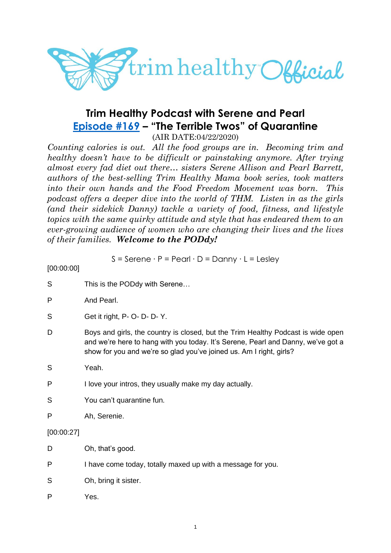

# **Trim Healthy Podcast with Serene and Pearl [Episode #169](https://cms.megaphone.fm/channel/trimhealthypodcast?selected=ADL5091364040) – "The Terrible Twos" of Quarantine**

(AIR DATE:04/22/2020)

*Counting calories is out. All the food groups are in. Becoming trim and healthy doesn't have to be difficult or painstaking anymore. After trying almost every fad diet out there… sisters Serene Allison and Pearl Barrett, authors of the best-selling Trim Healthy Mama book series, took matters into their own hands and the Food Freedom Movement was born. This podcast offers a deeper dive into the world of THM. Listen in as the girls (and their sidekick Danny) tackle a variety of food, fitness, and lifestyle topics with the same quirky attitude and style that has endeared them to an ever-growing audience of women who are changing their lives and the lives of their families. Welcome to the PODdy!*

S = Serene ∙ P = Pearl ∙ D = Danny ∙ L = Lesley

[00:00:00]

| S          | This is the PODdy with Serene                                                                                                                                                                                                               |
|------------|---------------------------------------------------------------------------------------------------------------------------------------------------------------------------------------------------------------------------------------------|
| P          | And Pearl.                                                                                                                                                                                                                                  |
| S          | Get it right, P- O- D- D- Y.                                                                                                                                                                                                                |
| D          | Boys and girls, the country is closed, but the Trim Healthy Podcast is wide open<br>and we're here to hang with you today. It's Serene, Pearl and Danny, we've got a<br>show for you and we're so glad you've joined us. Am I right, girls? |
| S          | Yeah.                                                                                                                                                                                                                                       |
| P          | I love your intros, they usually make my day actually.                                                                                                                                                                                      |
| S          | You can't quarantine fun.                                                                                                                                                                                                                   |
| P          | Ah, Serenie.                                                                                                                                                                                                                                |
| [00:00:27] |                                                                                                                                                                                                                                             |
| D          | Oh, that's good.                                                                                                                                                                                                                            |
| P          | I have come today, totally maxed up with a message for you.                                                                                                                                                                                 |
| S          | Oh, bring it sister.                                                                                                                                                                                                                        |
| P          | Yes.                                                                                                                                                                                                                                        |
|            |                                                                                                                                                                                                                                             |
|            |                                                                                                                                                                                                                                             |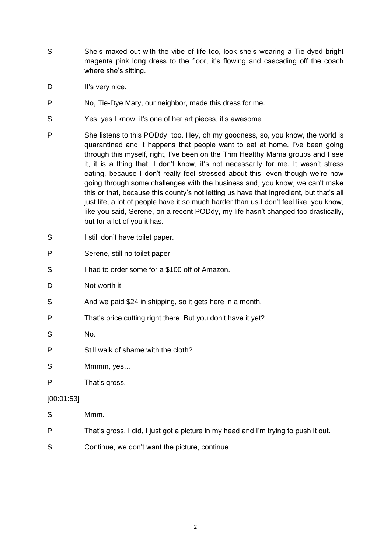- S She's maxed out with the vibe of life too, look she's wearing a Tie-dyed bright magenta pink long dress to the floor, it's flowing and cascading off the coach where she's sitting.
- D It's very nice.
- P No, Tie-Dye Mary, our neighbor, made this dress for me.
- S Yes, yes I know, it's one of her art pieces, it's awesome.
- P She listens to this PODdy too. Hey, oh my goodness, so, you know, the world is quarantined and it happens that people want to eat at home. I've been going through this myself, right, I've been on the Trim Healthy Mama groups and I see it, it is a thing that, I don't know, it's not necessarily for me. It wasn't stress eating, because I don't really feel stressed about this, even though we're now going through some challenges with the business and, you know, we can't make this or that, because this county's not letting us have that ingredient, but that's all just life, a lot of people have it so much harder than us.I don't feel like, you know, like you said, Serene, on a recent PODdy, my life hasn't changed too drastically, but for a lot of you it has.
- S I still don't have toilet paper.
- P Serene, still no toilet paper.
- S I had to order some for a \$100 off of Amazon.
- D Not worth it.
- S And we paid \$24 in shipping, so it gets here in a month.
- P That's price cutting right there. But you don't have it yet?
- S No.
- P Still walk of shame with the cloth?
- S Mmmm, yes…
- P That's gross.

## [00:01:53]

- S Mmm.
- P That's gross, I did, I just got a picture in my head and I'm trying to push it out.
- S Continue, we don't want the picture, continue.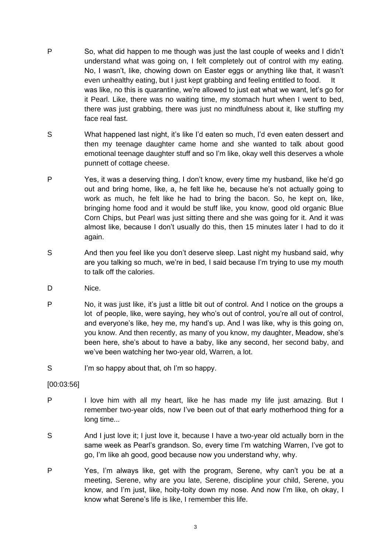- P So, what did happen to me though was just the last couple of weeks and I didn't understand what was going on, I felt completely out of control with my eating. No, I wasn't, like, chowing down on Easter eggs or anything like that, it wasn't even unhealthy eating, but I just kept grabbing and feeling entitled to food. It was like, no this is quarantine, we're allowed to just eat what we want, let's go for it Pearl. Like, there was no waiting time, my stomach hurt when I went to bed, there was just grabbing, there was just no mindfulness about it, like stuffing my face real fast.
- S What happened last night, it's like I'd eaten so much, I'd even eaten dessert and then my teenage daughter came home and she wanted to talk about good emotional teenage daughter stuff and so I'm like, okay well this deserves a whole punnett of cottage cheese.
- P Yes, it was a deserving thing, I don't know, every time my husband, like he'd go out and bring home, like, a, he felt like he, because he's not actually going to work as much, he felt like he had to bring the bacon. So, he kept on, like, bringing home food and it would be stuff like, you know, good old organic Blue Corn Chips, but Pearl was just sitting there and she was going for it. And it was almost like, because I don't usually do this, then 15 minutes later I had to do it again.
- S And then you feel like you don't deserve sleep. Last night my husband said, why are you talking so much, we're in bed, I said because I'm trying to use my mouth to talk off the calories.
- D Nice.
- P No, it was just like, it's just a little bit out of control. And I notice on the groups a lot of people, like, were saying, hey who's out of control, you're all out of control, and everyone's like, hey me, my hand's up. And I was like, why is this going on, you know. And then recently, as many of you know, my daughter, Meadow, she's been here, she's about to have a baby, like any second, her second baby, and we've been watching her two-year old, Warren, a lot.
- S I'm so happy about that, oh I'm so happy.

## [00:03:56]

- P I love him with all my heart, like he has made my life just amazing. But I remember two-year olds, now I've been out of that early motherhood thing for a long time...
- S And I just love it; I just love it, because I have a two-year old actually born in the same week as Pearl's grandson. So, every time I'm watching Warren, I've got to go, I'm like ah good, good because now you understand why, why.
- P Yes, I'm always like, get with the program, Serene, why can't you be at a meeting, Serene, why are you late, Serene, discipline your child, Serene, you know, and I'm just, like, hoity-toity down my nose. And now I'm like, oh okay, I know what Serene's life is like, I remember this life.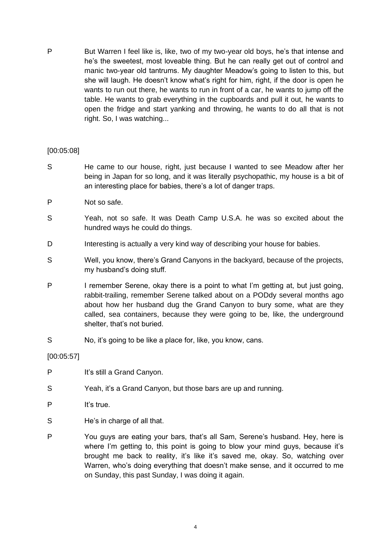P But Warren I feel like is, like, two of my two-year old boys, he's that intense and he's the sweetest, most loveable thing. But he can really get out of control and manic two-year old tantrums. My daughter Meadow's going to listen to this, but she will laugh. He doesn't know what's right for him, right, if the door is open he wants to run out there, he wants to run in front of a car, he wants to jump off the table. He wants to grab everything in the cupboards and pull it out, he wants to open the fridge and start yanking and throwing, he wants to do all that is not right. So, I was watching...

## [00:05:08]

- S He came to our house, right, just because I wanted to see Meadow after her being in Japan for so long, and it was literally psychopathic, my house is a bit of an interesting place for babies, there's a lot of danger traps.
- P Not so safe.
- S Yeah, not so safe. It was Death Camp U.S.A. he was so excited about the hundred ways he could do things.
- D Interesting is actually a very kind way of describing your house for babies.
- S Well, you know, there's Grand Canyons in the backyard, because of the projects, my husband's doing stuff.
- P I remember Serene, okay there is a point to what I'm getting at, but just going, rabbit-trailing, remember Serene talked about on a PODdy several months ago about how her husband dug the Grand Canyon to bury some, what are they called, sea containers, because they were going to be, like, the underground shelter, that's not buried.
- S No, it's going to be like a place for, like, you know, cans.

[00:05:57]

- P It's still a Grand Canyon.
- S Yeah, it's a Grand Canyon, but those bars are up and running.
- P It's true.
- S He's in charge of all that.
- P You guys are eating your bars, that's all Sam, Serene's husband. Hey, here is where I'm getting to, this point is going to blow your mind guys, because it's brought me back to reality, it's like it's saved me, okay. So, watching over Warren, who's doing everything that doesn't make sense, and it occurred to me on Sunday, this past Sunday, I was doing it again.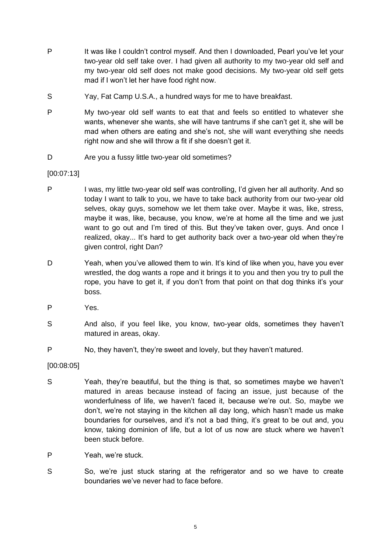- P It was like I couldn't control myself. And then I downloaded, Pearl you've let your two-year old self take over. I had given all authority to my two-year old self and my two-year old self does not make good decisions. My two-year old self gets mad if I won't let her have food right now.
- S Yay, Fat Camp U.S.A., a hundred ways for me to have breakfast.
- P My two-year old self wants to eat that and feels so entitled to whatever she wants, whenever she wants, she will have tantrums if she can't get it, she will be mad when others are eating and she's not, she will want everything she needs right now and she will throw a fit if she doesn't get it.
- D Are you a fussy little two-year old sometimes?

[00:07:13]

- P I was, my little two-year old self was controlling, I'd given her all authority. And so today I want to talk to you, we have to take back authority from our two-year old selves, okay guys, somehow we let them take over. Maybe it was, like, stress, maybe it was, like, because, you know, we're at home all the time and we just want to go out and I'm tired of this. But they've taken over, guys. And once I realized, okay... It's hard to get authority back over a two-year old when they're given control, right Dan?
- D Yeah, when you've allowed them to win. It's kind of like when you, have you ever wrestled, the dog wants a rope and it brings it to you and then you try to pull the rope, you have to get it, if you don't from that point on that dog thinks it's your boss.
- P Yes.
- S And also, if you feel like, you know, two-year olds, sometimes they haven't matured in areas, okay.
- P No, they haven't, they're sweet and lovely, but they haven't matured.

[00:08:05]

- S Yeah, they're beautiful, but the thing is that, so sometimes maybe we haven't matured in areas because instead of facing an issue, just because of the wonderfulness of life, we haven't faced it, because we're out. So, maybe we don't, we're not staying in the kitchen all day long, which hasn't made us make boundaries for ourselves, and it's not a bad thing, it's great to be out and, you know, taking dominion of life, but a lot of us now are stuck where we haven't been stuck before.
- P Yeah, we're stuck.
- S So, we're just stuck staring at the refrigerator and so we have to create boundaries we've never had to face before.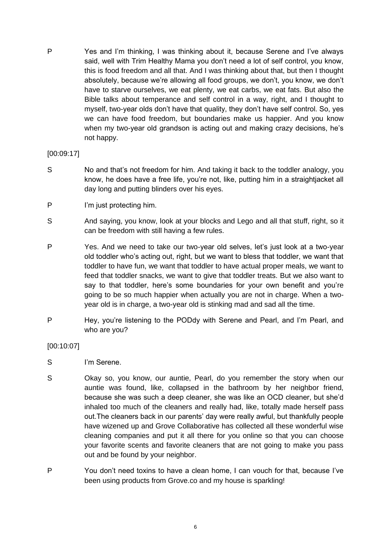P Yes and I'm thinking, I was thinking about it, because Serene and I've always said, well with Trim Healthy Mama you don't need a lot of self control, you know, this is food freedom and all that. And I was thinking about that, but then I thought absolutely, because we're allowing all food groups, we don't, you know, we don't have to starve ourselves, we eat plenty, we eat carbs, we eat fats. But also the Bible talks about temperance and self control in a way, right, and I thought to myself, two-year olds don't have that quality, they don't have self control. So, yes we can have food freedom, but boundaries make us happier. And you know when my two-year old grandson is acting out and making crazy decisions, he's not happy.

## [00:09:17]

- S No and that's not freedom for him. And taking it back to the toddler analogy, you know, he does have a free life, you're not, like, putting him in a straightjacket all day long and putting blinders over his eyes.
- P I'm just protecting him.
- S And saying, you know, look at your blocks and Lego and all that stuff, right, so it can be freedom with still having a few rules.
- P Yes. And we need to take our two-year old selves, let's just look at a two-year old toddler who's acting out, right, but we want to bless that toddler, we want that toddler to have fun, we want that toddler to have actual proper meals, we want to feed that toddler snacks, we want to give that toddler treats. But we also want to say to that toddler, here's some boundaries for your own benefit and you're going to be so much happier when actually you are not in charge. When a twoyear old is in charge, a two-year old is stinking mad and sad all the time.
- P Hey, you're listening to the PODdy with Serene and Pearl, and I'm Pearl, and who are you?

## [00:10:07]

- S I'm Serene.
- S Okay so, you know, our auntie, Pearl, do you remember the story when our auntie was found, like, collapsed in the bathroom by her neighbor friend, because she was such a deep cleaner, she was like an OCD cleaner, but she'd inhaled too much of the cleaners and really had, like, totally made herself pass out.The cleaners back in our parents' day were really awful, but thankfully people have wizened up and Grove Collaborative has collected all these wonderful wise cleaning companies and put it all there for you online so that you can choose your favorite scents and favorite cleaners that are not going to make you pass out and be found by your neighbor.
- P You don't need toxins to have a clean home, I can vouch for that, because I've been using products from Grove.co and my house is sparkling!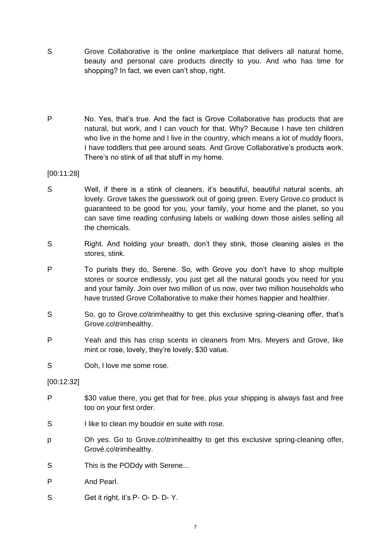- S Grove Collaborative is the online marketplace that delivers all natural home, beauty and personal care products directly to you. And who has time for shopping? In fact, we even can't shop, right.
- P No. Yes, that's true. And the fact is Grove Collaborative has products that are natural, but work, and I can vouch for that. Why? Because I have ten children who live in the home and I live in the country, which means a lot of muddy floors, I have toddlers that pee around seats. And Grove Collaborative's products work. There's no stink of all that stuff in my home.

[00:11:28]

- S Well, if there is a stink of cleaners, it's beautiful, beautiful natural scents, ah lovely. Grove takes the guesswork out of going green. Every Grove.co product is guaranteed to be good for you, your family, your home and the planet, so you can save time reading confusing labels or walking down those aisles selling all the chemicals.
- S Right. And holding your breath, don't they stink, those cleaning aisles in the stores, stink.
- P To purists they do, Serene. So, with Grove you don't have to shop multiple stores or source endlessly, you just get all the natural goods you need for you and your family. Join over two million of us now, over two million households who have trusted Grove Collaborative to make their homes happier and healthier.
- S So, go to Grove.co\trimhealthy to get this exclusive spring-cleaning offer, that's Grove.co\trimhealthy.
- P Yeah and this has crisp scents in cleaners from Mrs. Meyers and Grove, like mint or rose, lovely, they're lovely, \$30 value.
- S Ooh, I love me some rose.

[00:12:32]

- P \$30 value there, you get that for free, plus your shipping is always fast and free too on your first order.
- S I like to clean my boudoir en suite with rose.
- p Oh yes. Go to Grove.co\trimhealthy to get this exclusive spring-cleaning offer, Grové.co\trimhealthy.
- S This is the PODdy with Serene...
- P And Pearl.
- S Get it right, it's P- O- D- D- Y.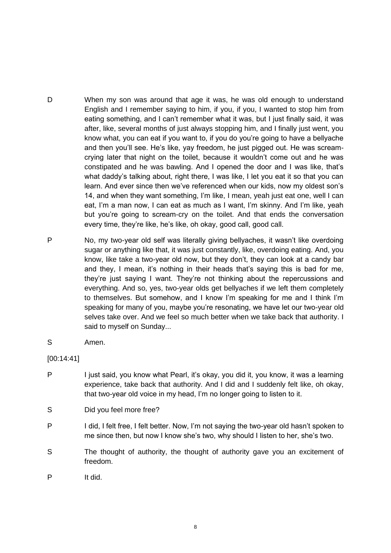- D When my son was around that age it was, he was old enough to understand English and I remember saying to him, if you, if you, I wanted to stop him from eating something, and I can't remember what it was, but I just finally said, it was after, like, several months of just always stopping him, and I finally just went, you know what, you can eat if you want to, if you do you're going to have a bellyache and then you'll see. He's like, yay freedom, he just pigged out. He was screamcrying later that night on the toilet, because it wouldn't come out and he was constipated and he was bawling. And I opened the door and I was like, that's what daddy's talking about, right there, I was like, I let you eat it so that you can learn. And ever since then we've referenced when our kids, now my oldest son's 14, and when they want something, I'm like, I mean, yeah just eat one, well I can eat, I'm a man now, I can eat as much as I want, I'm skinny. And I'm like, yeah but you're going to scream-cry on the toilet. And that ends the conversation every time, they're like, he's like, oh okay, good call, good call.
- P No, my two-year old self was literally giving bellyaches, it wasn't like overdoing sugar or anything like that, it was just constantly, like, overdoing eating. And, you know, like take a two-year old now, but they don't, they can look at a candy bar and they, I mean, it's nothing in their heads that's saying this is bad for me, they're just saying I want. They're not thinking about the repercussions and everything. And so, yes, two-year olds get bellyaches if we left them completely to themselves. But somehow, and I know I'm speaking for me and I think I'm speaking for many of you, maybe you're resonating, we have let our two-year old selves take over. And we feel so much better when we take back that authority. I said to myself on Sunday...
- S Amen.

[00:14:41]

P I just said, you know what Pearl, it's okay, you did it, you know, it was a learning experience, take back that authority. And I did and I suddenly felt like, oh okay, that two-year old voice in my head, I'm no longer going to listen to it.

S Did you feel more free?

- P I did, I felt free, I felt better. Now, I'm not saying the two-year old hasn't spoken to me since then, but now I know she's two, why should I listen to her, she's two.
- S The thought of authority, the thought of authority gave you an excitement of freedom.
- P It did.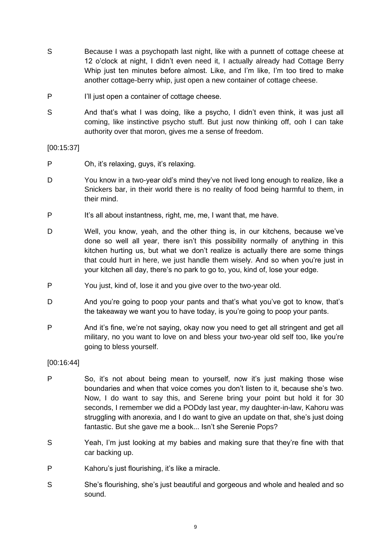- S Because I was a psychopath last night, like with a punnett of cottage cheese at 12 o'clock at night, I didn't even need it, I actually already had Cottage Berry Whip just ten minutes before almost. Like, and I'm like, I'm too tired to make another cottage-berry whip, just open a new container of cottage cheese.
- P I'll just open a container of cottage cheese.
- S And that's what I was doing, like a psycho, I didn't even think, it was just all coming, like instinctive psycho stuff. But just now thinking off, ooh I can take authority over that moron, gives me a sense of freedom.

[00:15:37]

- P Oh, it's relaxing, guys, it's relaxing.
- D You know in a two-year old's mind they've not lived long enough to realize, like a Snickers bar, in their world there is no reality of food being harmful to them, in their mind.
- P It's all about instantness, right, me, me, I want that, me have.
- D Well, you know, yeah, and the other thing is, in our kitchens, because we've done so well all year, there isn't this possibility normally of anything in this kitchen hurting us, but what we don't realize is actually there are some things that could hurt in here, we just handle them wisely. And so when you're just in your kitchen all day, there's no park to go to, you, kind of, lose your edge.
- P You just, kind of, lose it and you give over to the two-year old.
- D And you're going to poop your pants and that's what you've got to know, that's the takeaway we want you to have today, is you're going to poop your pants.
- P And it's fine, we're not saying, okay now you need to get all stringent and get all military, no you want to love on and bless your two-year old self too, like you're going to bless yourself.

[00:16:44]

- P So, it's not about being mean to yourself, now it's just making those wise boundaries and when that voice comes you don't listen to it, because she's two. Now, I do want to say this, and Serene bring your point but hold it for 30 seconds, I remember we did a PODdy last year, my daughter-in-law, Kahoru was struggling with anorexia, and I do want to give an update on that, she's just doing fantastic. But she gave me a book... Isn't she Serenie Pops?
- S Yeah, I'm just looking at my babies and making sure that they're fine with that car backing up.
- P Kahoru's just flourishing, it's like a miracle.
- S She's flourishing, she's just beautiful and gorgeous and whole and healed and so sound.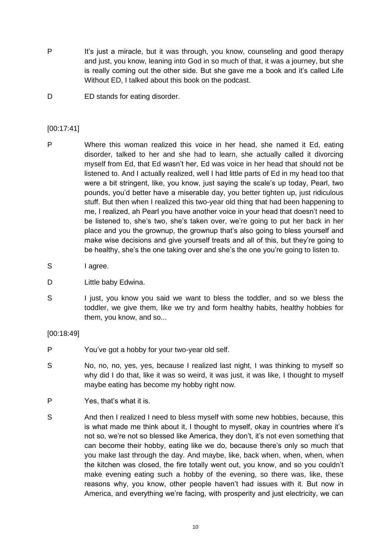- P It's just a miracle, but it was through, you know, counseling and good therapy and just, you know, leaning into God in so much of that, it was a journey, but she is really coming out the other side. But she gave me a book and it's called Life Without ED, I talked about this book on the podcast.
- D ED stands for eating disorder.

## [00:17:41]

- P Where this woman realized this voice in her head, she named it Ed, eating disorder, talked to her and she had to learn, she actually called it divorcing myself from Ed, that Ed wasn't her, Ed was voice in her head that should not be listened to. And I actually realized, well I had little parts of Ed in my head too that were a bit stringent, like, you know, just saying the scale's up today, Pearl, two pounds, you'd better have a miserable day, you better tighten up, just ridiculous stuff. But then when I realized this two-year old thing that had been happening to me, I realized, ah Pearl you have another voice in your head that doesn't need to be listened to, she's two, she's taken over, we're going to put her back in her place and you the grownup, the grownup that's also going to bless yourself and make wise decisions and give yourself treats and all of this, but they're going to be healthy, she's the one taking over and she's the one you're going to listen to.
- S lagree.
- D Little baby Edwina.
- S I just, you know you said we want to bless the toddler, and so we bless the toddler, we give them, like we try and form healthy habits, healthy hobbies for them, you know, and so...

[00:18:49]

- P You've got a hobby for your two-year old self.
- S No, no, no, yes, yes, because I realized last night, I was thinking to myself so why did I do that, like it was so weird, it was just, it was like, I thought to myself maybe eating has become my hobby right now.
- P Yes, that's what it is.
- S And then I realized I need to bless myself with some new hobbies, because, this is what made me think about it, I thought to myself, okay in countries where it's not so, we're not so blessed like America, they don't, it's not even something that can become their hobby, eating like we do, because there's only so much that you make last through the day. And maybe, like, back when, when, when, when the kitchen was closed, the fire totally went out, you know, and so you couldn't make evening eating such a hobby of the evening, so there was, like, these reasons why, you know, other people haven't had issues with it. But now in America, and everything we're facing, with prosperity and just electricity, we can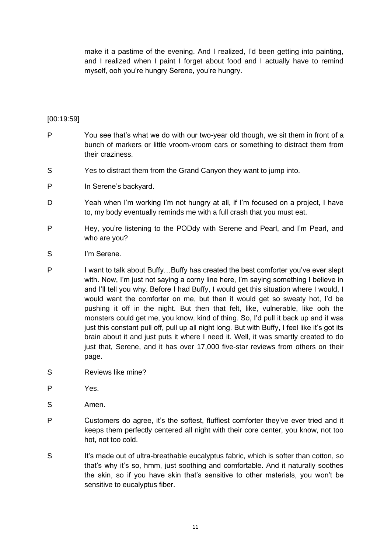make it a pastime of the evening. And I realized, I'd been getting into painting, and I realized when I paint I forget about food and I actually have to remind myself, ooh you're hungry Serene, you're hungry.

## [00:19:59]

- P You see that's what we do with our two-year old though, we sit them in front of a bunch of markers or little vroom-vroom cars or something to distract them from their craziness.
- S Yes to distract them from the Grand Canyon they want to jump into.
- P In Serene's backyard.
- D Yeah when I'm working I'm not hungry at all, if I'm focused on a project, I have to, my body eventually reminds me with a full crash that you must eat.
- P Hey, you're listening to the PODdy with Serene and Pearl, and I'm Pearl, and who are you?
- S I'm Serene.
- P I want to talk about Buffy...Buffy has created the best comforter you've ever slept with. Now, I'm just not saying a corny line here, I'm saying something I believe in and I'll tell you why. Before I had Buffy, I would get this situation where I would, I would want the comforter on me, but then it would get so sweaty hot, I'd be pushing it off in the night. But then that felt, like, vulnerable, like ooh the monsters could get me, you know, kind of thing. So, I'd pull it back up and it was just this constant pull off, pull up all night long. But with Buffy, I feel like it's got its brain about it and just puts it where I need it. Well, it was smartly created to do just that, Serene, and it has over 17,000 five-star reviews from others on their page.
- S Reviews like mine?
- P Yes.
- S Amen.
- P Customers do agree, it's the softest, fluffiest comforter they've ever tried and it keeps them perfectly centered all night with their core center, you know, not too hot, not too cold.
- S It's made out of ultra-breathable eucalyptus fabric, which is softer than cotton, so that's why it's so, hmm, just soothing and comfortable. And it naturally soothes the skin, so if you have skin that's sensitive to other materials, you won't be sensitive to eucalyptus fiber.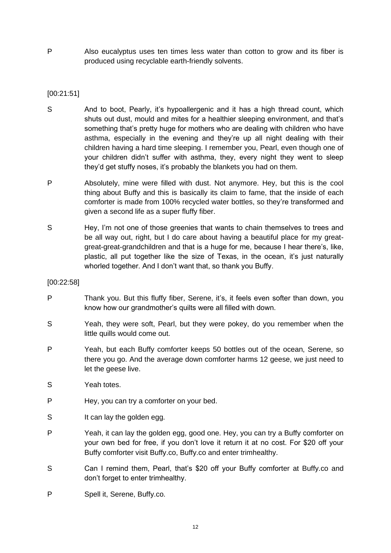P Also eucalyptus uses ten times less water than cotton to grow and its fiber is produced using recyclable earth-friendly solvents.

## [00:21:51]

- S And to boot, Pearly, it's hypoallergenic and it has a high thread count, which shuts out dust, mould and mites for a healthier sleeping environment, and that's something that's pretty huge for mothers who are dealing with children who have asthma, especially in the evening and they're up all night dealing with their children having a hard time sleeping. I remember you, Pearl, even though one of your children didn't suffer with asthma, they, every night they went to sleep they'd get stuffy noses, it's probably the blankets you had on them.
- P Absolutely, mine were filled with dust. Not anymore. Hey, but this is the cool thing about Buffy and this is basically its claim to fame, that the inside of each comforter is made from 100% recycled water bottles, so they're transformed and given a second life as a super fluffy fiber.
- S Hey, I'm not one of those greenies that wants to chain themselves to trees and be all way out, right, but I do care about having a beautiful place for my greatgreat-great-grandchildren and that is a huge for me, because I hear there's, like, plastic, all put together like the size of Texas, in the ocean, it's just naturally whorled together. And I don't want that, so thank you Buffy.

## [00:22:58]

- P Thank you. But this fluffy fiber, Serene, it's, it feels even softer than down, you know how our grandmother's quilts were all filled with down.
- S Yeah, they were soft, Pearl, but they were pokey, do you remember when the little quills would come out.
- P Yeah, but each Buffy comforter keeps 50 bottles out of the ocean, Serene, so there you go. And the average down comforter harms 12 geese, we just need to let the geese live.
- S Yeah totes.
- P Hey, you can try a comforter on your bed.
- S It can lay the golden egg.
- P Yeah, it can lay the golden egg, good one. Hey, you can try a Buffy comforter on your own bed for free, if you don't love it return it at no cost. For \$20 off your Buffy comforter visit Buffy.co, Buffy.co and enter trimhealthy.
- S Can I remind them, Pearl, that's \$20 off your Buffy comforter at Buffy.co and don't forget to enter trimhealthy.
- P Spell it, Serene, Buffy.co.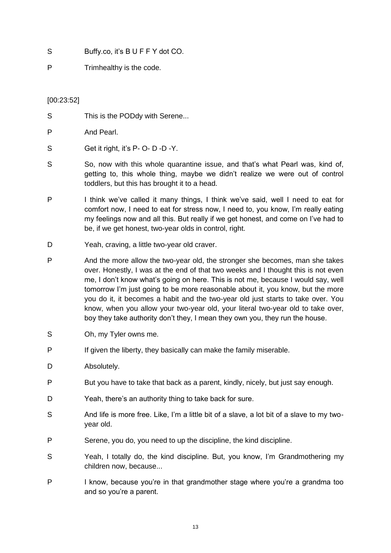- S Buffy.co, it's BUFFY dot CO.
- P Trimhealthy is the code.

## [00:23:52]

- S This is the PODdy with Serene...
- P And Pearl.
- S Get it right, it's P- O- D -D -Y.
- S So, now with this whole quarantine issue, and that's what Pearl was, kind of, getting to, this whole thing, maybe we didn't realize we were out of control toddlers, but this has brought it to a head.
- P I think we've called it many things, I think we've said, well I need to eat for comfort now, I need to eat for stress now, I need to, you know, I'm really eating my feelings now and all this. But really if we get honest, and come on I've had to be, if we get honest, two-year olds in control, right.
- D Yeah, craving, a little two-year old craver.
- P And the more allow the two-year old, the stronger she becomes, man she takes over. Honestly, I was at the end of that two weeks and I thought this is not even me, I don't know what's going on here. This is not me, because I would say, well tomorrow I'm just going to be more reasonable about it, you know, but the more you do it, it becomes a habit and the two-year old just starts to take over. You know, when you allow your two-year old, your literal two-year old to take over, boy they take authority don't they, I mean they own you, they run the house.
- S Oh, my Tyler owns me.
- P If given the liberty, they basically can make the family miserable.
- D Absolutely.
- P But you have to take that back as a parent, kindly, nicely, but just say enough.
- D Yeah, there's an authority thing to take back for sure.
- S And life is more free. Like, I'm a little bit of a slave, a lot bit of a slave to my twoyear old.
- P Serene, you do, you need to up the discipline, the kind discipline.
- S Yeah, I totally do, the kind discipline. But, you know, I'm Grandmothering my children now, because...
- P I know, because you're in that grandmother stage where you're a grandma too and so you're a parent.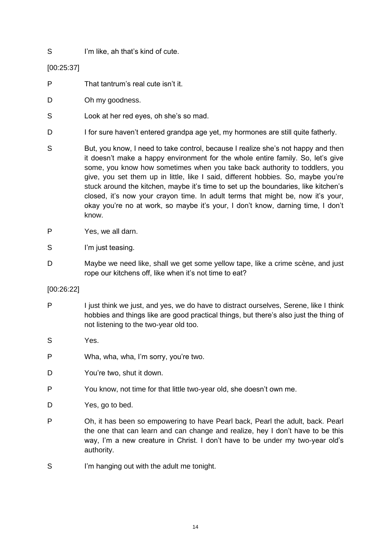S I'm like, ah that's kind of cute.

[00:25:37]

- P That tantrum's real cute isn't it.
- D Oh my goodness.
- S Look at her red eyes, oh she's so mad.
- D I for sure haven't entered grandpa age yet, my hormones are still quite fatherly.
- S But, you know, I need to take control, because I realize she's not happy and then it doesn't make a happy environment for the whole entire family. So, let's give some, you know how sometimes when you take back authority to toddlers, you give, you set them up in little, like I said, different hobbies. So, maybe you're stuck around the kitchen, maybe it's time to set up the boundaries, like kitchen's closed, it's now your crayon time. In adult terms that might be, now it's your, okay you're no at work, so maybe it's your, I don't know, darning time, I don't know.
- P Yes, we all darn.
- S I'm just teasing.
- D Maybe we need like, shall we get some yellow tape, like a crime scène, and just rope our kitchens off, like when it's not time to eat?

## [00:26:22]

- P I just think we just, and yes, we do have to distract ourselves, Serene, like I think hobbies and things like are good practical things, but there's also just the thing of not listening to the two-year old too.
- S Yes.
- P Wha, wha, wha, I'm sorry, you're two.
- D You're two, shut it down.
- P You know, not time for that little two-year old, she doesn't own me.
- D Yes, go to bed.
- P Oh, it has been so empowering to have Pearl back, Pearl the adult, back. Pearl the one that can learn and can change and realize, hey I don't have to be this way, I'm a new creature in Christ. I don't have to be under my two-year old's authority.
- S I'm hanging out with the adult me tonight.
	- 14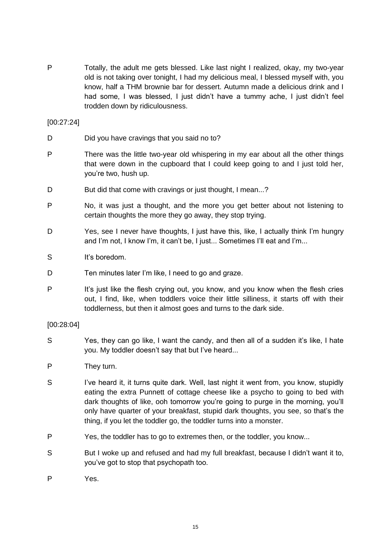P Totally, the adult me gets blessed. Like last night I realized, okay, my two-year old is not taking over tonight, I had my delicious meal, I blessed myself with, you know, half a THM brownie bar for dessert. Autumn made a delicious drink and I had some, I was blessed, I just didn't have a tummy ache, I just didn't feel trodden down by ridiculousness.

[00:27:24]

- D Did you have cravings that you said no to?
- P There was the little two-year old whispering in my ear about all the other things that were down in the cupboard that I could keep going to and I just told her, you're two, hush up.
- D But did that come with cravings or just thought, I mean...?
- P No, it was just a thought, and the more you get better about not listening to certain thoughts the more they go away, they stop trying.
- D Yes, see I never have thoughts, I just have this, like, I actually think I'm hungry and I'm not, I know I'm, it can't be, I just... Sometimes I'll eat and I'm...
- S It's boredom.
- D Ten minutes later I'm like, I need to go and graze.
- P It's just like the flesh crying out, you know, and you know when the flesh cries out, I find, like, when toddlers voice their little silliness, it starts off with their toddlerness, but then it almost goes and turns to the dark side.

## [00:28:04]

- S Yes, they can go like, I want the candy, and then all of a sudden it's like, I hate you. My toddler doesn't say that but I've heard...
- P They turn.
- S I've heard it, it turns quite dark. Well, last night it went from, you know, stupidly eating the extra Punnett of cottage cheese like a psycho to going to bed with dark thoughts of like, ooh tomorrow you're going to purge in the morning, you'll only have quarter of your breakfast, stupid dark thoughts, you see, so that's the thing, if you let the toddler go, the toddler turns into a monster.
- P Yes, the toddler has to go to extremes then, or the toddler, you know...
- S But I woke up and refused and had my full breakfast, because I didn't want it to, you've got to stop that psychopath too.
- P Yes.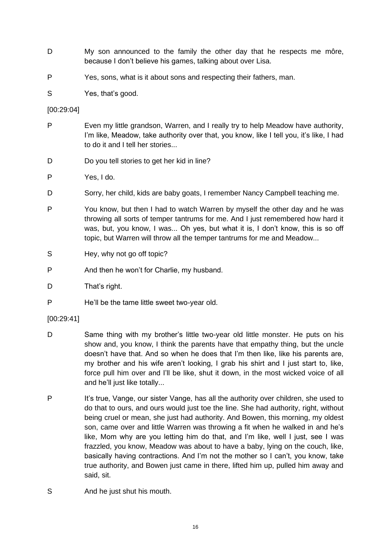- D My son announced to the family the other day that he respects me môre, because I don't believe his games, talking about over Lisa.
- P Yes, sons, what is it about sons and respecting their fathers, man.
- S Yes, that's good.

## [00:29:04]

- P Even my little grandson, Warren, and I really try to help Meadow have authority, I'm like, Meadow, take authority over that, you know, like I tell you, it's like, I had to do it and I tell her stories...
- D Do you tell stories to get her kid in line?
- P Yes, I do.
- D Sorry, her child, kids are baby goats, I remember Nancy Campbell teaching me.
- P You know, but then I had to watch Warren by myself the other day and he was throwing all sorts of temper tantrums for me. And I just remembered how hard it was, but, you know, I was... Oh yes, but what it is, I don't know, this is so off topic, but Warren will throw all the temper tantrums for me and Meadow...
- S Hey, why not go off topic?
- P And then he won't for Charlie, my husband.
- D That's right.
- P He'll be the tame little sweet two-year old.

## [00:29:41]

- D Same thing with my brother's little two-year old little monster. He puts on his show and, you know, I think the parents have that empathy thing, but the uncle doesn't have that. And so when he does that I'm then like, like his parents are, my brother and his wife aren't looking, I grab his shirt and I just start to, like, force pull him over and I'll be like, shut it down, in the most wicked voice of all and he'll just like totally...
- P It's true, Vange, our sister Vange, has all the authority over children, she used to do that to ours, and ours would just toe the line. She had authority, right, without being cruel or mean, she just had authority. And Bowen, this morning, my oldest son, came over and little Warren was throwing a fit when he walked in and he's like, Mom why are you letting him do that, and I'm like, well I just, see I was frazzled, you know, Meadow was about to have a baby, lying on the couch, like, basically having contractions. And I'm not the mother so I can't, you know, take true authority, and Bowen just came in there, lifted him up, pulled him away and said, sit.
- S And he just shut his mouth.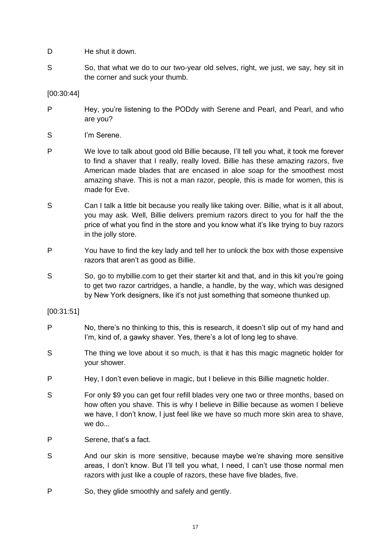- D He shut it down.
- S So, that what we do to our two-year old selves, right, we just, we say, hey sit in the corner and suck your thumb.

[00:30:44]

- P Hey, you're listening to the PODdy with Serene and Pearl, and Pearl, and who are you?
- S I'm Serene.
- P We love to talk about good old Billie because, I'll tell you what, it took me forever to find a shaver that I really, really loved. Billie has these amazing razors, five American made blades that are encased in aloe soap for the smoothest most amazing shave. This is not a man razor, people, this is made for women, this is made for Eve.
- S Can I talk a little bit because you really like taking over. Billie, what is it all about, you may ask. Well, Billie delivers premium razors direct to you for half the the price of what you find in the store and you know what it's like trying to buy razors in the jolly store.
- P You have to find the key lady and tell her to unlock the box with those expensive razors that aren't as good as Billie.
- S So, go to mybillie.com to get their starter kit and that, and in this kit you're going to get two razor cartridges, a handle, a handle, by the way, which was designed by New York designers, like it's not just something that someone thunked up.

[00:31:51]

- P No, there's no thinking to this, this is research, it doesn't slip out of my hand and I'm, kind of, a gawky shaver. Yes, there's a lot of long leg to shave.
- S The thing we love about it so much, is that it has this magic magnetic holder for your shower.
- P Hey, I don't even believe in magic, but I believe in this Billie magnetic holder.
- S For only \$9 you can get four refill blades very one two or three months, based on how often you shave. This is why I believe in Billie because as women I believe we have, I don't know, I just feel like we have so much more skin area to shave, we do...
- P Serene, that's a fact.
- S And our skin is more sensitive, because maybe we're shaving more sensitive areas, I don't know. But I'll tell you what, I need, I can't use those normal men razors with just like a couple of razors, these have five blades, five.
- P So, they glide smoothly and safely and gently.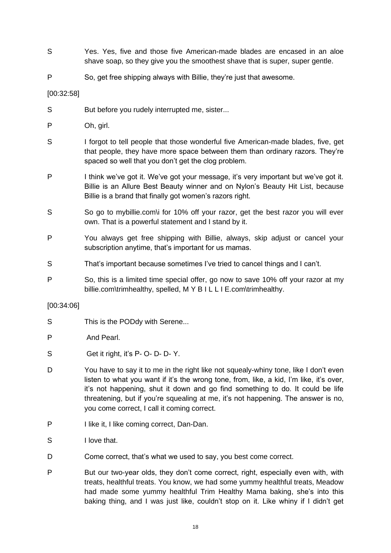- S Yes. Yes, five and those five American-made blades are encased in an aloe shave soap, so they give you the smoothest shave that is super, super gentle.
- P So, get free shipping always with Billie, they're just that awesome.

[00:32:58]

- S But before you rudely interrupted me, sister...
- P Oh, girl.
- S I forgot to tell people that those wonderful five American-made blades, five, get that people, they have more space between them than ordinary razors. They're spaced so well that you don't get the clog problem.
- P I think we've got it. We've got your message, it's very important but we've got it. Billie is an Allure Best Beauty winner and on Nylon's Beauty Hit List, because Billie is a brand that finally got women's razors right.
- So go to mybillie.com\i for 10% off your razor, get the best razor you will ever own. That is a powerful statement and I stand by it.
- P You always get free shipping with Billie, always, skip adjust or cancel your subscription anytime, that's important for us mamas.
- S That's important because sometimes I've tried to cancel things and I can't.
- P So, this is a limited time special offer, go now to save 10% off your razor at my billie.com\trimhealthy, spelled, M Y B I L L I E.com\trimhealthy.

## [00:34:06]

- S This is the PODdy with Serene...
- P And Pearl.
- S Get it right, it's P- O- D- D- Y.
- D You have to say it to me in the right like not squealy-whiny tone, like I don't even listen to what you want if it's the wrong tone, from, like, a kid, I'm like, it's over, it's not happening, shut it down and go find something to do. It could be life threatening, but if you're squealing at me, it's not happening. The answer is no, you come correct, I call it coming correct.
- P I like it, I like coming correct, Dan-Dan.
- S I love that.
- D Come correct, that's what we used to say, you best come correct.
- P But our two-year olds, they don't come correct, right, especially even with, with treats, healthful treats. You know, we had some yummy healthful treats, Meadow had made some yummy healthful Trim Healthy Mama baking, she's into this baking thing, and I was just like, couldn't stop on it. Like whiny if I didn't get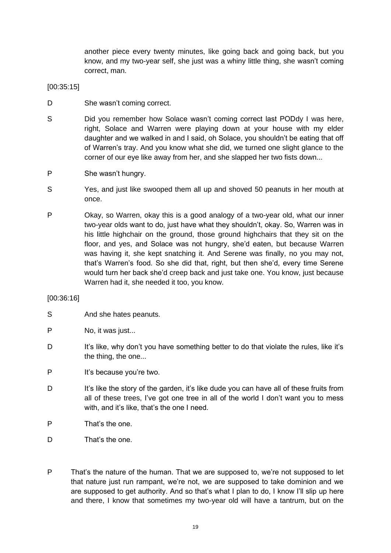another piece every twenty minutes, like going back and going back, but you know, and my two-year self, she just was a whiny little thing, she wasn't coming correct, man.

[00:35:15]

- D She wasn't coming correct.
- S Did you remember how Solace wasn't coming correct last PODdy I was here, right, Solace and Warren were playing down at your house with my elder daughter and we walked in and I said, oh Solace, you shouldn't be eating that off of Warren's tray. And you know what she did, we turned one slight glance to the corner of our eye like away from her, and she slapped her two fists down...
- P She wasn't hungry.
- S Yes, and just like swooped them all up and shoved 50 peanuts in her mouth at once.
- P Okay, so Warren, okay this is a good analogy of a two-year old, what our inner two-year olds want to do, just have what they shouldn't, okay. So, Warren was in his little highchair on the ground, those ground highchairs that they sit on the floor, and yes, and Solace was not hungry, she'd eaten, but because Warren was having it, she kept snatching it. And Serene was finally, no you may not, that's Warren's food. So she did that, right, but then she'd, every time Serene would turn her back she'd creep back and just take one. You know, just because Warren had it, she needed it too, you know.

## [00:36:16]

- S And she hates peanuts.
- P No. it was just...
- D It's like, why don't you have something better to do that violate the rules, like it's the thing, the one...
- P It's because you're two.
- D It's like the story of the garden, it's like dude you can have all of these fruits from all of these trees, I've got one tree in all of the world I don't want you to mess with, and it's like, that's the one I need.
- P That's the one.
- D That's the one.
- P That's the nature of the human. That we are supposed to, we're not supposed to let that nature just run rampant, we're not, we are supposed to take dominion and we are supposed to get authority. And so that's what I plan to do, I know I'll slip up here and there, I know that sometimes my two-year old will have a tantrum, but on the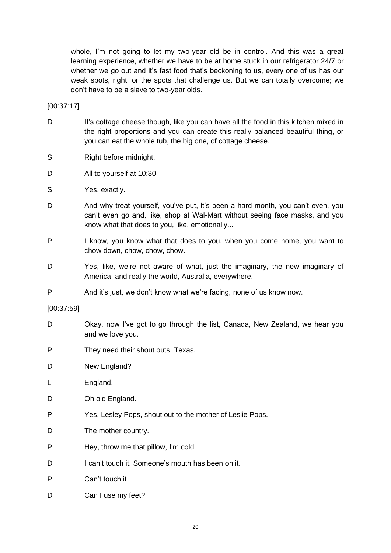whole, I'm not going to let my two-year old be in control. And this was a great learning experience, whether we have to be at home stuck in our refrigerator 24/7 or whether we go out and it's fast food that's beckoning to us, every one of us has our weak spots, right, or the spots that challenge us. But we can totally overcome; we don't have to be a slave to two-year olds.

[00:37:17]

- D It's cottage cheese though, like you can have all the food in this kitchen mixed in the right proportions and you can create this really balanced beautiful thing, or you can eat the whole tub, the big one, of cottage cheese.
- S Right before midnight.
- D All to yourself at 10:30.
- S Yes, exactly.
- D And why treat yourself, you've put, it's been a hard month, you can't even, you can't even go and, like, shop at Wal-Mart without seeing face masks, and you know what that does to you, like, emotionally...
- P I know, you know what that does to you, when you come home, you want to chow down, chow, chow, chow.
- D Yes, like, we're not aware of what, just the imaginary, the new imaginary of America, and really the world, Australia, everywhere.
- P And it's just, we don't know what we're facing, none of us know now.

[00:37:59]

- D Okay, now I've got to go through the list, Canada, New Zealand, we hear you and we love you.
- P They need their shout outs. Texas.
- D New England?
- L England.
- D Oh old England.
- P Yes, Lesley Pops, shout out to the mother of Leslie Pops.
- D The mother country.
- P Hey, throw me that pillow, I'm cold.
- D I can't touch it. Someone's mouth has been on it.
- P Can't touch it.
- D Can I use my feet?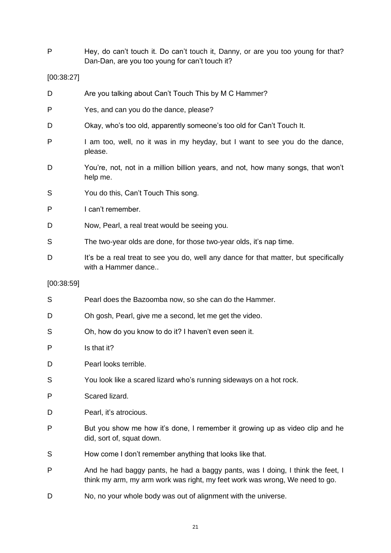P Hey, do can't touch it. Do can't touch it, Danny, or are you too young for that? Dan-Dan, are you too young for can't touch it?

#### [00:38:27]

- D Are you talking about Can't Touch This by M C Hammer?
- P Yes, and can you do the dance, please?
- D Okay, who's too old, apparently someone's too old for Can't Touch It.
- P I am too, well, no it was in my heyday, but I want to see you do the dance, please.
- D You're, not, not in a million billion years, and not, how many songs, that won't help me.
- S You do this, Can't Touch This song.
- P I can't remember.
- D Now, Pearl, a real treat would be seeing you.
- S The two-year olds are done, for those two-year olds, it's nap time.
- D It's be a real treat to see you do, well any dance for that matter, but specifically with a Hammer dance..

#### [00:38:59]

| S | Pearl does the Bazoomba now, so she can do the Hammer.                                                                                                        |
|---|---------------------------------------------------------------------------------------------------------------------------------------------------------------|
| D | Oh gosh, Pearl, give me a second, let me get the video.                                                                                                       |
| S | Oh, how do you know to do it? I haven't even seen it.                                                                                                         |
| P | Is that it?                                                                                                                                                   |
| D | Pearl looks terrible.                                                                                                                                         |
| S | You look like a scared lizard who's running sideways on a hot rock.                                                                                           |
| P | Scared lizard.                                                                                                                                                |
| D | Pearl, it's atrocious.                                                                                                                                        |
| P | But you show me how it's done, I remember it growing up as video clip and he<br>did, sort of, squat down.                                                     |
| S | How come I don't remember anything that looks like that.                                                                                                      |
| P | And he had baggy pants, he had a baggy pants, was I doing, I think the feet, I<br>think my arm, my arm work was right, my feet work was wrong, We need to go. |
|   |                                                                                                                                                               |

D No, no your whole body was out of alignment with the universe.